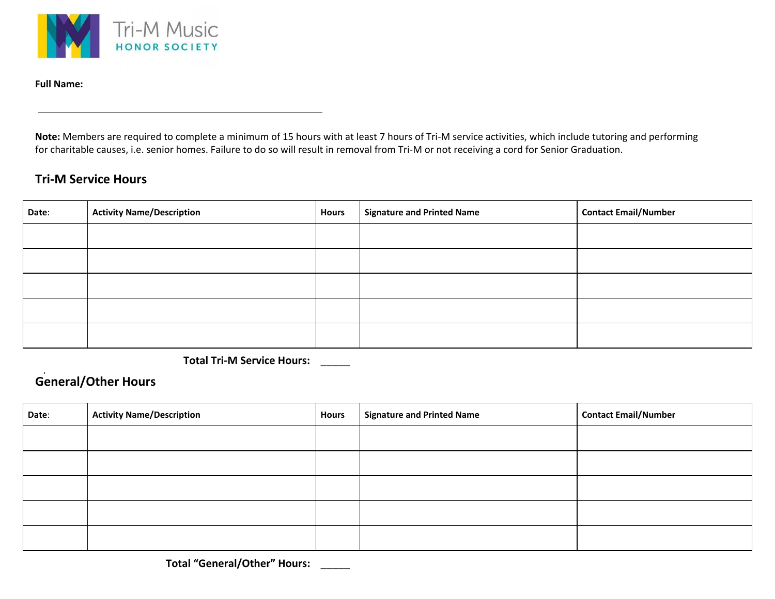

**Full Name:**

**Note:** Members are required to complete a minimum of 15 hours with at least 7 hours of Tri-M service activities, which include tutoring and performing for charitable causes, i.e. senior homes. Failure to do so will result in removal from Tri-M or not receiving a cord for Senior Graduation.

## **Tri-M Service Hours**

| Date: | <b>Activity Name/Description</b> | <b>Hours</b> | <b>Signature and Printed Name</b> | <b>Contact Email/Number</b> |
|-------|----------------------------------|--------------|-----------------------------------|-----------------------------|
|       |                                  |              |                                   |                             |
|       |                                  |              |                                   |                             |
|       |                                  |              |                                   |                             |
|       |                                  |              |                                   |                             |
|       |                                  |              |                                   |                             |

**Total Tri-M Service Hours:** \_\_\_\_\_

## **General/Other Hours**

| Date: | <b>Activity Name/Description</b> | <b>Hours</b> | <b>Signature and Printed Name</b> | <b>Contact Email/Number</b> |
|-------|----------------------------------|--------------|-----------------------------------|-----------------------------|
|       |                                  |              |                                   |                             |
|       |                                  |              |                                   |                             |
|       |                                  |              |                                   |                             |
|       |                                  |              |                                   |                             |
|       |                                  |              |                                   |                             |